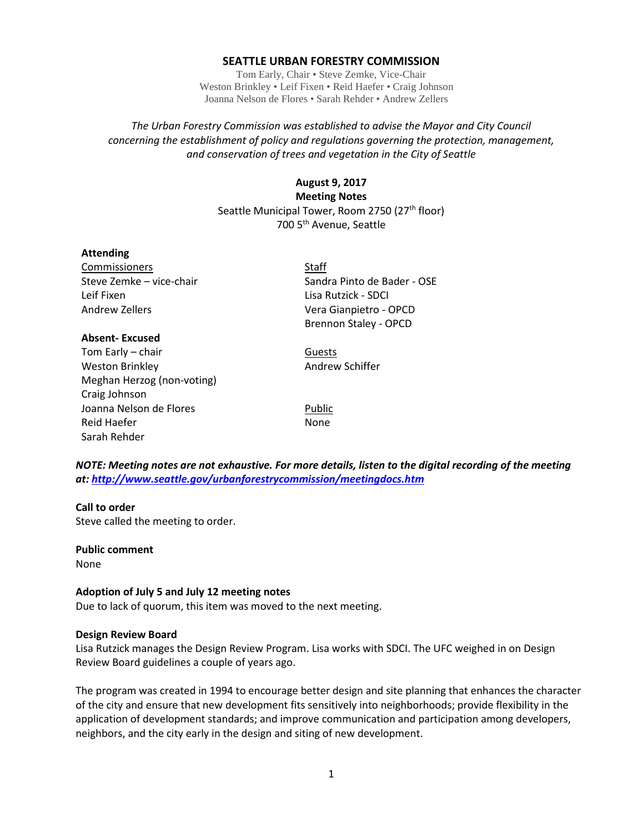### **SEATTLE URBAN FORESTRY COMMISSION**

Tom Early, Chair • Steve Zemke, Vice-Chair Weston Brinkley • Leif Fixen • Reid Haefer • Craig Johnson Joanna Nelson de Flores • Sarah Rehder • Andrew Zellers

# *The Urban Forestry Commission was established to advise the Mayor and City Council concerning the establishment of policy and regulations governing the protection, management, and conservation of trees and vegetation in the City of Seattle*

# **August 9, 2017 Meeting Notes** Seattle Municipal Tower, Room 2750 (27<sup>th</sup> floor) 700 5th Avenue, Seattle

### **Attending**

Commissioners Staff Leif Fixen Lisa Rutzick - SDCI Andrew Zellers Vera Gianpietro - OPCD

# **Absent- Excused**

Tom Early – chair Guests Weston Brinkley **Andrew Schiffer** Meghan Herzog (non-voting) Craig Johnson Joanna Nelson de Flores **Public** Reid Haefer None Sarah Rehder

Steve Zemke – vice-chair Sandra Pinto de Bader - OSE Brennon Staley - OPCD

*NOTE: Meeting notes are not exhaustive. For more details, listen to the digital recording of the meeting at:<http://www.seattle.gov/urbanforestrycommission/meetingdocs.htm>*

#### **Call to order**

Steve called the meeting to order.

**Public comment** None

# **Adoption of July 5 and July 12 meeting notes**

Due to lack of quorum, this item was moved to the next meeting.

#### **Design Review Board**

Lisa Rutzick manages the Design Review Program. Lisa works with SDCI. The UFC weighed in on Design Review Board guidelines a couple of years ago.

The program was created in 1994 to encourage better design and site planning that enhances the character of the city and ensure that new development fits sensitively into neighborhoods; provide flexibility in the application of development standards; and improve communication and participation among developers, neighbors, and the city early in the design and siting of new development.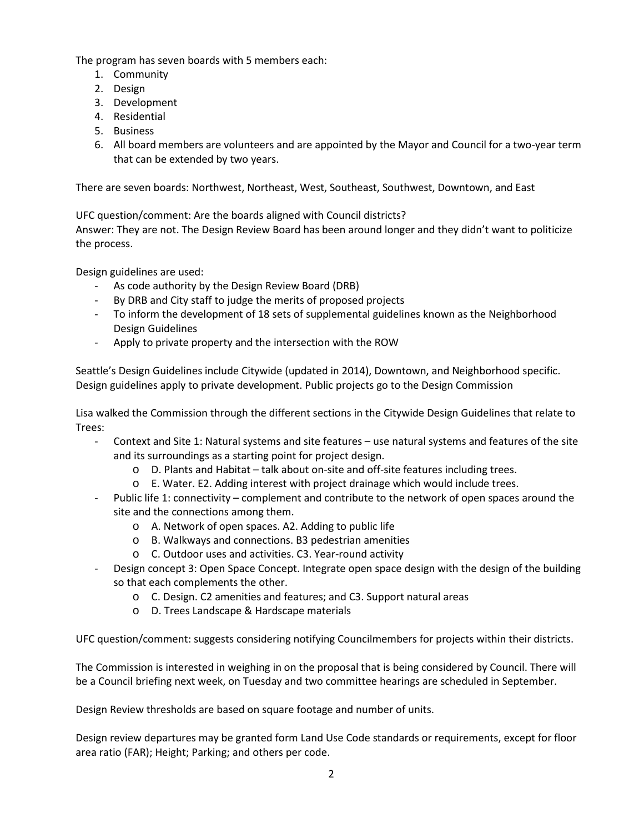The program has seven boards with 5 members each:

- 1. Community
- 2. Design
- 3. Development
- 4. Residential
- 5. Business
- 6. All board members are volunteers and are appointed by the Mayor and Council for a two-year term that can be extended by two years.

There are seven boards: Northwest, Northeast, West, Southeast, Southwest, Downtown, and East

UFC question/comment: Are the boards aligned with Council districts?

Answer: They are not. The Design Review Board has been around longer and they didn't want to politicize the process.

Design guidelines are used:

- As code authority by the Design Review Board (DRB)
- By DRB and City staff to judge the merits of proposed projects
- To inform the development of 18 sets of supplemental guidelines known as the Neighborhood Design Guidelines
- Apply to private property and the intersection with the ROW

Seattle's Design Guidelines include Citywide (updated in 2014), Downtown, and Neighborhood specific. Design guidelines apply to private development. Public projects go to the Design Commission

Lisa walked the Commission through the different sections in the Citywide Design Guidelines that relate to Trees:

- Context and Site 1: Natural systems and site features use natural systems and features of the site and its surroundings as a starting point for project design.
	- o D. Plants and Habitat talk about on-site and off-site features including trees.
	- o E. Water. E2. Adding interest with project drainage which would include trees.
- Public life 1: connectivity complement and contribute to the network of open spaces around the site and the connections among them.
	- o A. Network of open spaces. A2. Adding to public life
	- o B. Walkways and connections. B3 pedestrian amenities
	- o C. Outdoor uses and activities. C3. Year-round activity
- Design concept 3: Open Space Concept. Integrate open space design with the design of the building so that each complements the other.
	- o C. Design. C2 amenities and features; and C3. Support natural areas
	- o D. Trees Landscape & Hardscape materials

UFC question/comment: suggests considering notifying Councilmembers for projects within their districts.

The Commission is interested in weighing in on the proposal that is being considered by Council. There will be a Council briefing next week, on Tuesday and two committee hearings are scheduled in September.

Design Review thresholds are based on square footage and number of units.

Design review departures may be granted form Land Use Code standards or requirements, except for floor area ratio (FAR); Height; Parking; and others per code.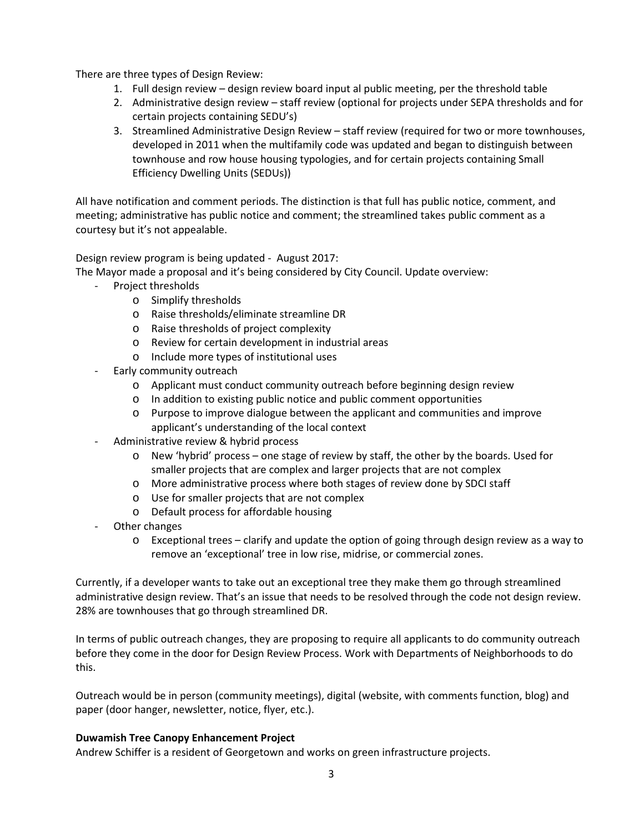There are three types of Design Review:

- 1. Full design review design review board input al public meeting, per the threshold table
- 2. Administrative design review staff review (optional for projects under SEPA thresholds and for certain projects containing SEDU's)
- 3. Streamlined Administrative Design Review staff review (required for two or more townhouses, developed in 2011 when the multifamily code was updated and began to distinguish between townhouse and row house housing typologies, and for certain projects containing Small Efficiency Dwelling Units (SEDUs))

All have notification and comment periods. The distinction is that full has public notice, comment, and meeting; administrative has public notice and comment; the streamlined takes public comment as a courtesy but it's not appealable.

Design review program is being updated - August 2017:

The Mayor made a proposal and it's being considered by City Council. Update overview:

- Project thresholds
	- o Simplify thresholds
	- o Raise thresholds/eliminate streamline DR
	- o Raise thresholds of project complexity
	- o Review for certain development in industrial areas
	- o Include more types of institutional uses
- Early community outreach
	- o Applicant must conduct community outreach before beginning design review
	- o In addition to existing public notice and public comment opportunities
	- o Purpose to improve dialogue between the applicant and communities and improve applicant's understanding of the local context
- Administrative review & hybrid process
	- o New 'hybrid' process one stage of review by staff, the other by the boards. Used for smaller projects that are complex and larger projects that are not complex
	- o More administrative process where both stages of review done by SDCI staff
	- o Use for smaller projects that are not complex
	- o Default process for affordable housing
- Other changes
	- o Exceptional trees clarify and update the option of going through design review as a way to remove an 'exceptional' tree in low rise, midrise, or commercial zones.

Currently, if a developer wants to take out an exceptional tree they make them go through streamlined administrative design review. That's an issue that needs to be resolved through the code not design review. 28% are townhouses that go through streamlined DR.

In terms of public outreach changes, they are proposing to require all applicants to do community outreach before they come in the door for Design Review Process. Work with Departments of Neighborhoods to do this.

Outreach would be in person (community meetings), digital (website, with comments function, blog) and paper (door hanger, newsletter, notice, flyer, etc.).

# **Duwamish Tree Canopy Enhancement Project**

Andrew Schiffer is a resident of Georgetown and works on green infrastructure projects.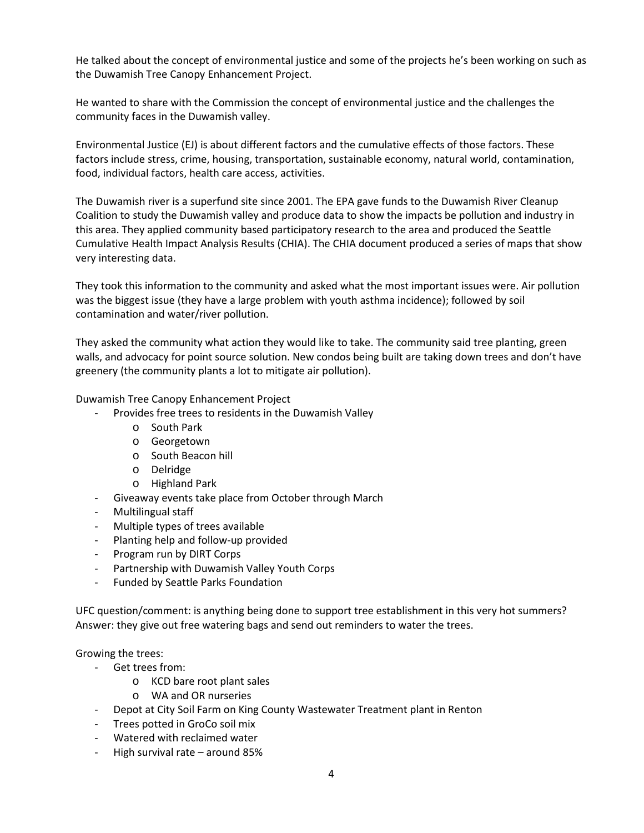He talked about the concept of environmental justice and some of the projects he's been working on such as the Duwamish Tree Canopy Enhancement Project.

He wanted to share with the Commission the concept of environmental justice and the challenges the community faces in the Duwamish valley.

Environmental Justice (EJ) is about different factors and the cumulative effects of those factors. These factors include stress, crime, housing, transportation, sustainable economy, natural world, contamination, food, individual factors, health care access, activities.

The Duwamish river is a superfund site since 2001. The EPA gave funds to the Duwamish River Cleanup Coalition to study the Duwamish valley and produce data to show the impacts be pollution and industry in this area. They applied community based participatory research to the area and produced the Seattle Cumulative Health Impact Analysis Results (CHIA). The CHIA document produced a series of maps that show very interesting data.

They took this information to the community and asked what the most important issues were. Air pollution was the biggest issue (they have a large problem with youth asthma incidence); followed by soil contamination and water/river pollution.

They asked the community what action they would like to take. The community said tree planting, green walls, and advocacy for point source solution. New condos being built are taking down trees and don't have greenery (the community plants a lot to mitigate air pollution).

Duwamish Tree Canopy Enhancement Project

- Provides free trees to residents in the Duwamish Valley
	- o South Park
	- o Georgetown
	- o South Beacon hill
	- o Delridge
	- o Highland Park
- Giveaway events take place from October through March
- Multilingual staff
- Multiple types of trees available
- Planting help and follow-up provided
- Program run by DIRT Corps
- Partnership with Duwamish Valley Youth Corps
- Funded by Seattle Parks Foundation

UFC question/comment: is anything being done to support tree establishment in this very hot summers? Answer: they give out free watering bags and send out reminders to water the trees.

Growing the trees:

- Get trees from:
	- o KCD bare root plant sales
	- o WA and OR nurseries
- Depot at City Soil Farm on King County Wastewater Treatment plant in Renton
- Trees potted in GroCo soil mix
- Watered with reclaimed water
- High survival rate around 85%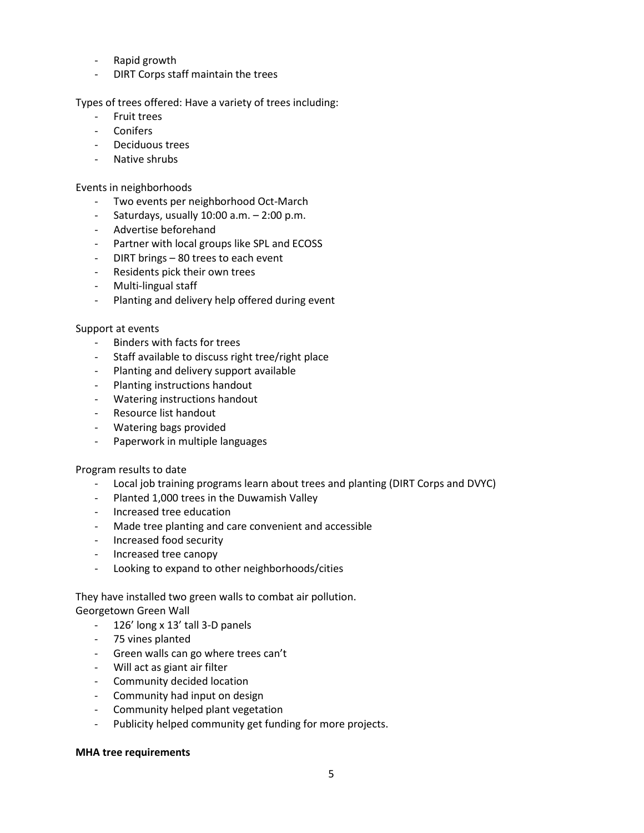- Rapid growth
- DIRT Corps staff maintain the trees

Types of trees offered: Have a variety of trees including:

- Fruit trees
- Conifers
- Deciduous trees
- Native shrubs

# Events in neighborhoods

- Two events per neighborhood Oct-March
- Saturdays, usually  $10:00$  a.m.  $-2:00$  p.m.
- Advertise beforehand
- Partner with local groups like SPL and ECOSS
- DIRT brings 80 trees to each event
- Residents pick their own trees
- Multi-lingual staff
- Planting and delivery help offered during event

### Support at events

- Binders with facts for trees
- Staff available to discuss right tree/right place
- Planting and delivery support available
- Planting instructions handout
- Watering instructions handout
- Resource list handout
- Watering bags provided
- Paperwork in multiple languages

# Program results to date

- Local job training programs learn about trees and planting (DIRT Corps and DVYC)
- Planted 1,000 trees in the Duwamish Valley
- Increased tree education
- Made tree planting and care convenient and accessible
- Increased food security
- Increased tree canopy
- Looking to expand to other neighborhoods/cities

### They have installed two green walls to combat air pollution. Georgetown Green Wall

- 126' long x 13' tall 3-D panels
- 75 vines planted
- Green walls can go where trees can't
- Will act as giant air filter
- Community decided location
- Community had input on design
- Community helped plant vegetation
- Publicity helped community get funding for more projects.

# **MHA tree requirements**